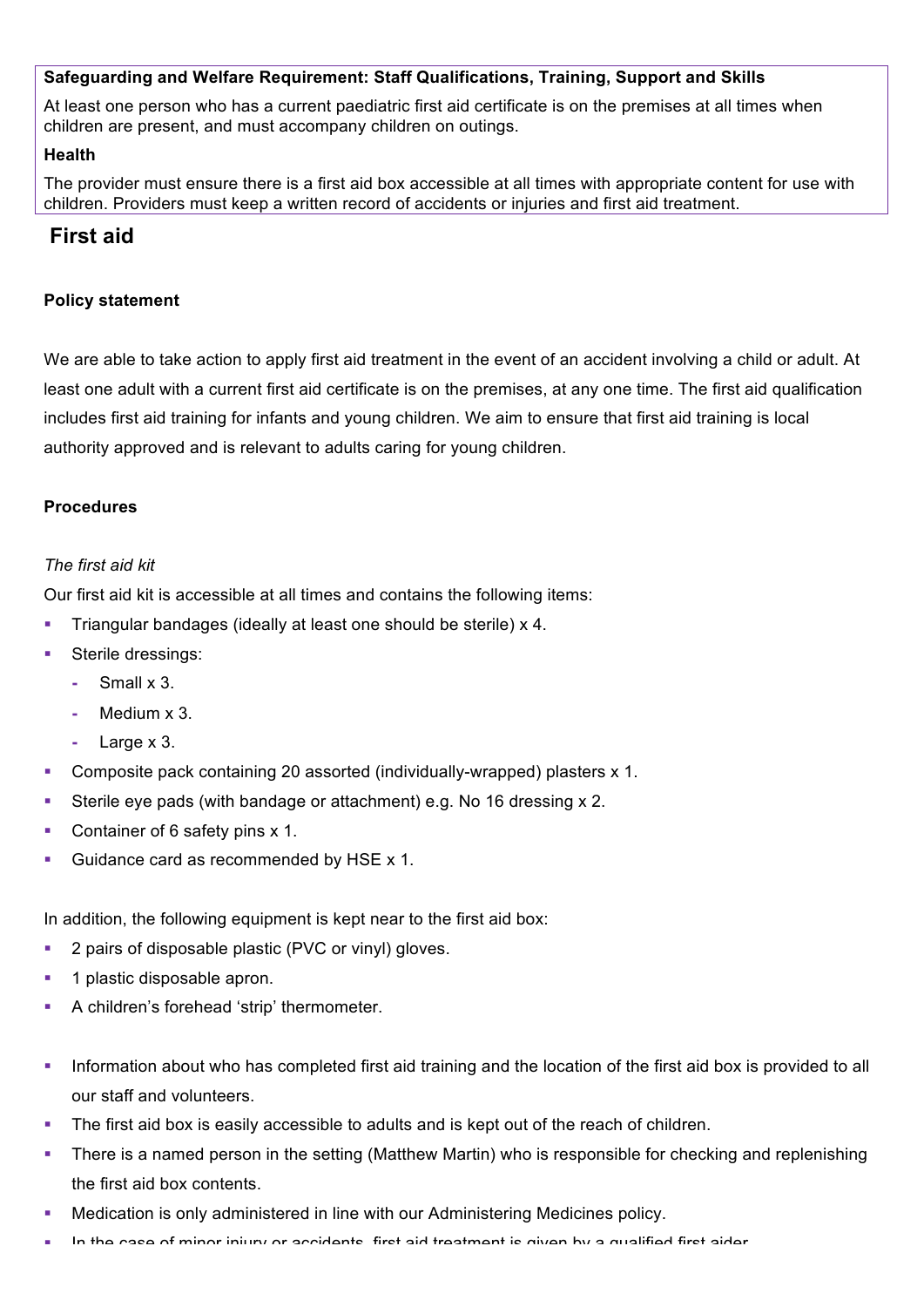# **Safeguarding and Welfare Requirement: Staff Qualifications, Training, Support and Skills**

At least one person who has a current paediatric first aid certificate is on the premises at all times when children are present, and must accompany children on outings.

#### **Health**

The provider must ensure there is a first aid box accessible at all times with appropriate content for use with children. Providers must keep a written record of accidents or injuries and first aid treatment.

# **First aid**

# **Policy statement**

We are able to take action to apply first aid treatment in the event of an accident involving a child or adult. At least one adult with a current first aid certificate is on the premises, at any one time. The first aid qualification includes first aid training for infants and young children. We aim to ensure that first aid training is local authority approved and is relevant to adults caring for young children.

# **Procedures**

# *The first aid kit*

Our first aid kit is accessible at all times and contains the following items:

- § Triangular bandages (ideally at least one should be sterile) x 4.
- Sterile dressings:
	- **-** Small x 3.
	- **-** Medium x 3.
	- **-** Large x 3.
- Composite pack containing 20 assorted (individually-wrapped) plasters x 1.
- § Sterile eye pads (with bandage or attachment) e.g. No 16 dressing x 2.
- Container of 6 safety pins x 1.
- § Guidance card as recommended by HSE x 1.

In addition, the following equipment is kept near to the first aid box:

- 2 pairs of disposable plastic (PVC or vinyl) gloves.
- § 1 plastic disposable apron.
- § A children's forehead 'strip' thermometer.
- Information about who has completed first aid training and the location of the first aid box is provided to all our staff and volunteers.
- The first aid box is easily accessible to adults and is kept out of the reach of children.
- There is a named person in the setting (Matthew Martin) who is responsible for checking and replenishing the first aid box contents.
- § Medication is only administered in line with our Administering Medicines policy.
- In the case of minor injury or accidents, first aid treatment is given by a qualified first aider.